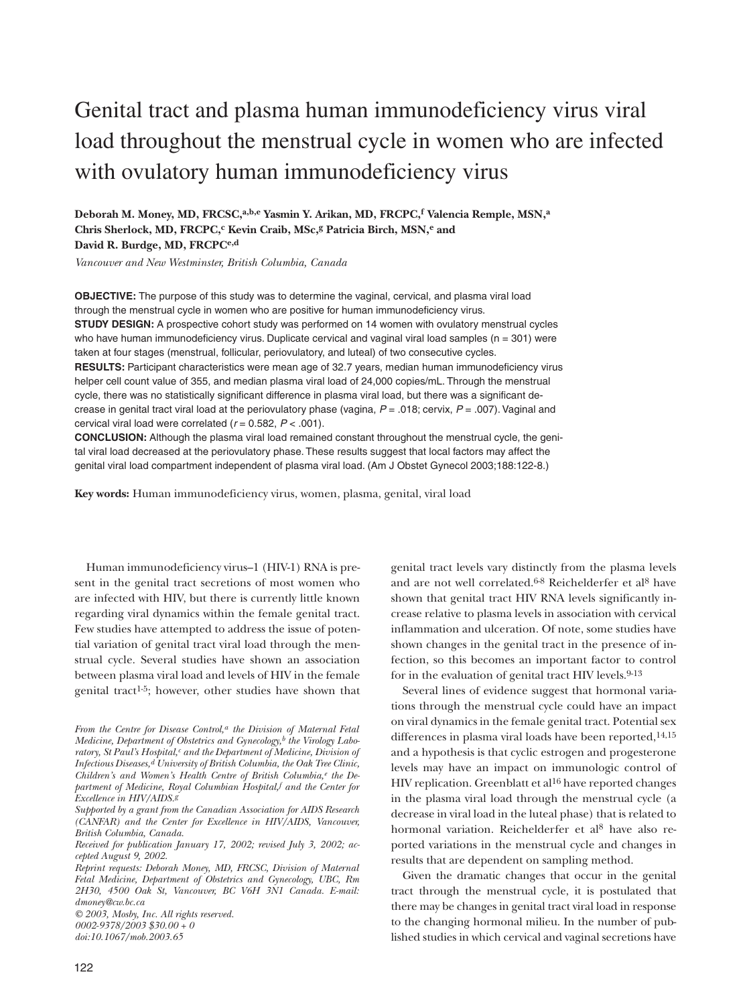# Genital tract and plasma human immunodeficiency virus viral load throughout the menstrual cycle in women who are infected with ovulatory human immunodeficiency virus

**Deborah M. Money, MD, FRCSC,a,b,e Yasmin Y. Arikan, MD, FRCPC,f Valencia Remple, MSN,a Chris Sherlock, MD, FRCPC,c Kevin Craib, MSc,g Patricia Birch, MSN,e and David R. Burdge, MD, FRCPCe,d**

*Vancouver and New Westminster, British Columbia, Canada*

**OBJECTIVE:** The purpose of this study was to determine the vaginal, cervical, and plasma viral load through the menstrual cycle in women who are positive for human immunodeficiency virus. **STUDY DESIGN:** A prospective cohort study was performed on 14 women with ovulatory menstrual cycles who have human immunodeficiency virus. Duplicate cervical and vaginal viral load samples ( $n = 301$ ) were taken at four stages (menstrual, follicular, periovulatory, and luteal) of two consecutive cycles. **RESULTS:** Participant characteristics were mean age of 32.7 years, median human immunodeficiency virus helper cell count value of 355, and median plasma viral load of 24,000 copies/mL. Through the menstrual cycle, there was no statistically significant difference in plasma viral load, but there was a significant decrease in genital tract viral load at the periovulatory phase (vagina, *P* = .018; cervix, *P* = .007). Vaginal and cervical viral load were correlated (*r* = 0.582, *P* < .001).

**CONCLUSION:** Although the plasma viral load remained constant throughout the menstrual cycle, the genital viral load decreased at the periovulatory phase. These results suggest that local factors may affect the genital viral load compartment independent of plasma viral load. (Am J Obstet Gynecol 2003;188:122-8.)

**Key words:** Human immunodeficiency virus, women, plasma, genital, viral load

Human immunodeficiency virus–1 (HIV-1) RNA is present in the genital tract secretions of most women who are infected with HIV, but there is currently little known regarding viral dynamics within the female genital tract. Few studies have attempted to address the issue of potential variation of genital tract viral load through the menstrual cycle. Several studies have shown an association between plasma viral load and levels of HIV in the female genital tract1-5; however, other studies have shown that

From the Centre for Disease Control,<sup>a</sup> the Division of Maternal Fetal *Medicine, Department of Obstetrics and Gynecology,<sup>b</sup> the Virology Labo*ratory, St Paul's Hospital,<sup>c</sup> and the Department of Medicine, Division of *Infectious Diseases,d University of British Columbia, the Oak Tree Clinic, Children's and Women's Health Centre of British Columbia,e the Department of Medicine, Royal Columbian Hospital,f and the Center for Excellence in HIV/AIDS.g*

*Supported by a grant from the Canadian Association for AIDS Research (CANFAR) and the Center for Excellence in HIV/AIDS, Vancouver, British Columbia, Canada.*

*Received for publication January 17, 2002; revised July 3, 2002; accepted August 9, 2002.*

*Reprint requests: Deborah Money, MD, FRCSC, Division of Maternal Fetal Medicine, Department of Obstetrics and Gynecology, UBC, Rm 2H30, 4500 Oak St, Vancouver, BC V6H 3N1 Canada. E-mail: dmoney@cw.bc.ca*

*© 2003, Mosby, Inc. All rights reserved. 0002-9378/2003 \$30.00 + 0 doi:10.1067/mob.2003.65*

genital tract levels vary distinctly from the plasma levels and are not well correlated.6-8 Reichelderfer et al8 have shown that genital tract HIV RNA levels significantly increase relative to plasma levels in association with cervical inflammation and ulceration. Of note, some studies have shown changes in the genital tract in the presence of infection, so this becomes an important factor to control for in the evaluation of genital tract HIV levels.<sup>9-13</sup>

Several lines of evidence suggest that hormonal variations through the menstrual cycle could have an impact on viral dynamics in the female genital tract. Potential sex differences in plasma viral loads have been reported, <sup>14,15</sup> and a hypothesis is that cyclic estrogen and progesterone levels may have an impact on immunologic control of HIV replication. Greenblatt et al<sup>16</sup> have reported changes in the plasma viral load through the menstrual cycle (a decrease in viral load in the luteal phase) that is related to hormonal variation. Reichelderfer et al8 have also reported variations in the menstrual cycle and changes in results that are dependent on sampling method.

Given the dramatic changes that occur in the genital tract through the menstrual cycle, it is postulated that there may be changes in genital tract viral load in response to the changing hormonal milieu. In the number of published studies in which cervical and vaginal secretions have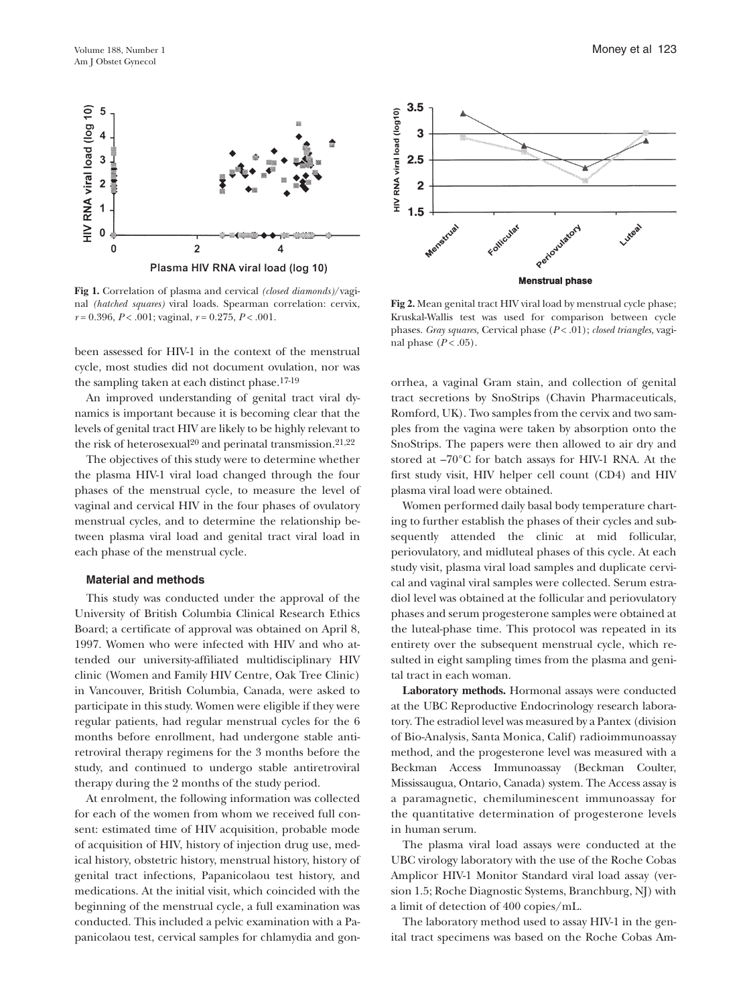

**Fig 1.** Correlation of plasma and cervical *(closed diamonds)*/vaginal *(hatched squares)* viral loads. Spearman correlation: cervix, *r* = 0.396, *P* < .001; vaginal, *r* = 0.275, *P* < .001.

been assessed for HIV-1 in the context of the menstrual cycle, most studies did not document ovulation, nor was the sampling taken at each distinct phase.17-19

An improved understanding of genital tract viral dynamics is important because it is becoming clear that the levels of genital tract HIV are likely to be highly relevant to the risk of heterosexual<sup>20</sup> and perinatal transmission.<sup>21,22</sup>

The objectives of this study were to determine whether the plasma HIV-1 viral load changed through the four phases of the menstrual cycle, to measure the level of vaginal and cervical HIV in the four phases of ovulatory menstrual cycles, and to determine the relationship between plasma viral load and genital tract viral load in each phase of the menstrual cycle.

#### **Material and methods**

This study was conducted under the approval of the University of British Columbia Clinical Research Ethics Board; a certificate of approval was obtained on April 8, 1997. Women who were infected with HIV and who attended our university-affiliated multidisciplinary HIV clinic (Women and Family HIV Centre, Oak Tree Clinic) in Vancouver, British Columbia, Canada, were asked to participate in this study. Women were eligible if they were regular patients, had regular menstrual cycles for the 6 months before enrollment, had undergone stable antiretroviral therapy regimens for the 3 months before the study, and continued to undergo stable antiretroviral therapy during the 2 months of the study period.

At enrolment, the following information was collected for each of the women from whom we received full consent: estimated time of HIV acquisition, probable mode of acquisition of HIV, history of injection drug use, medical history, obstetric history, menstrual history, history of genital tract infections, Papanicolaou test history, and medications. At the initial visit, which coincided with the beginning of the menstrual cycle, a full examination was conducted. This included a pelvic examination with a Papanicolaou test, cervical samples for chlamydia and gon-



**Fig 2.** Mean genital tract HIV viral load by menstrual cycle phase; Kruskal-Wallis test was used for comparison between cycle phases. *Gray squares,* Cervical phase (*P* < .01); *closed triangles,* vaginal phase  $(P < .05)$ .

orrhea, a vaginal Gram stain, and collection of genital tract secretions by SnoStrips (Chavin Pharmaceuticals, Romford, UK). Two samples from the cervix and two samples from the vagina were taken by absorption onto the SnoStrips. The papers were then allowed to air dry and stored at –70°C for batch assays for HIV-1 RNA. At the first study visit, HIV helper cell count (CD4) and HIV plasma viral load were obtained.

Women performed daily basal body temperature charting to further establish the phases of their cycles and subsequently attended the clinic at mid follicular, periovulatory, and midluteal phases of this cycle. At each study visit, plasma viral load samples and duplicate cervical and vaginal viral samples were collected. Serum estradiol level was obtained at the follicular and periovulatory phases and serum progesterone samples were obtained at the luteal-phase time. This protocol was repeated in its entirety over the subsequent menstrual cycle, which resulted in eight sampling times from the plasma and genital tract in each woman.

**Laboratory methods.** Hormonal assays were conducted at the UBC Reproductive Endocrinology research laboratory. The estradiol level was measured by a Pantex (division of Bio-Analysis, Santa Monica, Calif) radioimmunoassay method, and the progesterone level was measured with a Beckman Access Immunoassay (Beckman Coulter, Mississaugua, Ontario, Canada) system. The Access assay is a paramagnetic, chemiluminescent immunoassay for the quantitative determination of progesterone levels in human serum.

The plasma viral load assays were conducted at the UBC virology laboratory with the use of the Roche Cobas Amplicor HIV-1 Monitor Standard viral load assay (version 1.5; Roche Diagnostic Systems, Branchburg, NJ) with a limit of detection of 400 copies/mL.

The laboratory method used to assay HIV-1 in the genital tract specimens was based on the Roche Cobas Am-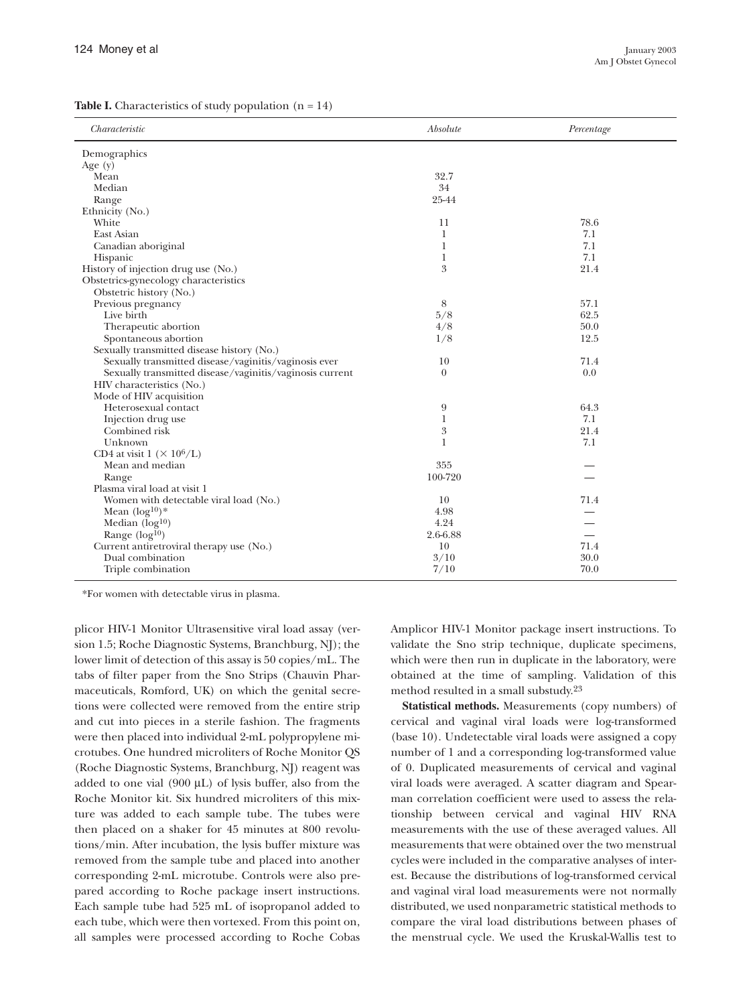| Characteristic                                           | Absolute         | Percentage |
|----------------------------------------------------------|------------------|------------|
| Demographics                                             |                  |            |
| Age $(y)$                                                |                  |            |
| Mean                                                     | 32.7             |            |
| Median                                                   | 34               |            |
| Range                                                    | 25-44            |            |
| Ethnicity (No.)                                          |                  |            |
| White                                                    | 11               | 78.6       |
| East Asian                                               | 1                | 7.1        |
| Canadian aboriginal                                      | $\mathbf{1}$     | 7.1        |
| Hispanic                                                 | $\mathbf{1}$     | 7.1        |
| History of injection drug use (No.)                      | 3                | 21.4       |
| Obstetrics-gynecology characteristics                    |                  |            |
| Obstetric history (No.)                                  |                  |            |
| Previous pregnancy                                       | 8                | 57.1       |
| Live birth                                               | 5/8              | 62.5       |
| Therapeutic abortion                                     | 4/8              | 50.0       |
| Spontaneous abortion                                     | 1/8              | 12.5       |
| Sexually transmitted disease history (No.)               |                  |            |
| Sexually transmitted disease/vaginitis/vaginosis ever    | 10               | 71.4       |
| Sexually transmitted disease/vaginitis/vaginosis current | $\Omega$         | 0.0        |
| HIV characteristics (No.)                                |                  |            |
| Mode of HIV acquisition                                  |                  |            |
| Heterosexual contact                                     | $\overline{9}$   | 64.3       |
| Injection drug use                                       | $\mathbf{1}$     | 7.1        |
| Combined risk                                            | $\boldsymbol{3}$ | 21.4       |
| Unknown                                                  | $\mathbf{1}$     | 7.1        |
| CD4 at visit $1 \times 10^6$ /L)                         |                  |            |
| Mean and median                                          | 355              |            |
| Range                                                    | 100-720          |            |
| Plasma viral load at visit 1                             |                  |            |
| Women with detectable viral load (No.)                   | 10               | 71.4       |
| Mean $(log10)$ *                                         | 4.98             |            |
| Median $(log10)$                                         | 4.24             |            |
| Range $(log10)$                                          | 2.6-6.88         |            |
| Current antiretroviral therapy use (No.)                 | 10               | 71.4       |
| Dual combination                                         | 3/10             | 30.0       |
| Triple combination                                       | 7/10             | 70.0       |

**Table I.** Characteristics of study population  $(n = 14)$ 

\*For women with detectable virus in plasma.

plicor HIV-1 Monitor Ultrasensitive viral load assay (version 1.5; Roche Diagnostic Systems, Branchburg, NJ); the lower limit of detection of this assay is 50 copies/mL. The tabs of filter paper from the Sno Strips (Chauvin Pharmaceuticals, Romford, UK) on which the genital secretions were collected were removed from the entire strip and cut into pieces in a sterile fashion. The fragments were then placed into individual 2-mL polypropylene microtubes. One hundred microliters of Roche Monitor QS (Roche Diagnostic Systems, Branchburg, NJ) reagent was added to one vial  $(900 \mu L)$  of lysis buffer, also from the Roche Monitor kit. Six hundred microliters of this mixture was added to each sample tube. The tubes were then placed on a shaker for 45 minutes at 800 revolutions/min. After incubation, the lysis buffer mixture was removed from the sample tube and placed into another corresponding 2-mL microtube. Controls were also prepared according to Roche package insert instructions. Each sample tube had 525 mL of isopropanol added to each tube, which were then vortexed. From this point on, all samples were processed according to Roche Cobas Amplicor HIV-1 Monitor package insert instructions. To validate the Sno strip technique, duplicate specimens, which were then run in duplicate in the laboratory, were obtained at the time of sampling. Validation of this method resulted in a small substudy.23

**Statistical methods.** Measurements (copy numbers) of cervical and vaginal viral loads were log-transformed (base 10). Undetectable viral loads were assigned a copy number of 1 and a corresponding log-transformed value of 0. Duplicated measurements of cervical and vaginal viral loads were averaged. A scatter diagram and Spearman correlation coefficient were used to assess the relationship between cervical and vaginal HIV RNA measurements with the use of these averaged values. All measurements that were obtained over the two menstrual cycles were included in the comparative analyses of interest. Because the distributions of log-transformed cervical and vaginal viral load measurements were not normally distributed, we used nonparametric statistical methods to compare the viral load distributions between phases of the menstrual cycle. We used the Kruskal-Wallis test to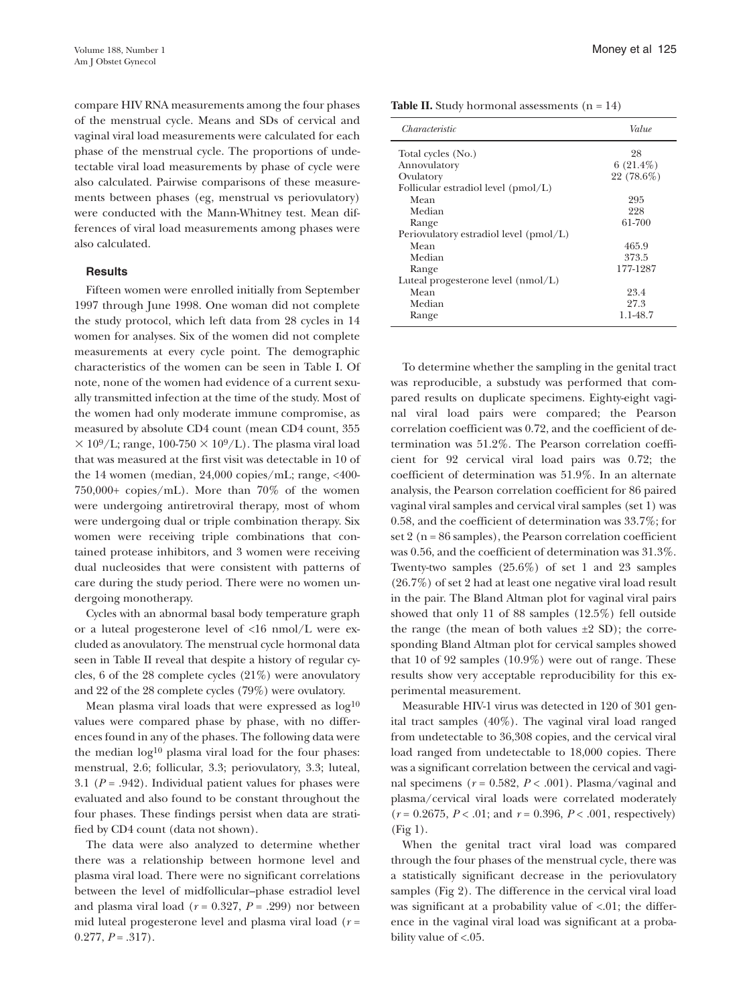compare HIV RNA measurements among the four phases of the menstrual cycle. Means and SDs of cervical and vaginal viral load measurements were calculated for each phase of the menstrual cycle. The proportions of undetectable viral load measurements by phase of cycle were also calculated. Pairwise comparisons of these measurements between phases (eg, menstrual vs periovulatory) were conducted with the Mann-Whitney test. Mean differences of viral load measurements among phases were also calculated.

## **Results**

Fifteen women were enrolled initially from September 1997 through June 1998. One woman did not complete the study protocol, which left data from 28 cycles in 14 women for analyses. Six of the women did not complete measurements at every cycle point. The demographic characteristics of the women can be seen in Table I. Of note, none of the women had evidence of a current sexually transmitted infection at the time of the study. Most of the women had only moderate immune compromise, as measured by absolute CD4 count (mean CD4 count, 355  $\times$  10<sup>9</sup>/L; range, 100-750  $\times$  10<sup>9</sup>/L). The plasma viral load that was measured at the first visit was detectable in 10 of the 14 women (median, 24,000 copies/mL; range, <400- 750,000+ copies/mL). More than 70% of the women were undergoing antiretroviral therapy, most of whom were undergoing dual or triple combination therapy. Six women were receiving triple combinations that contained protease inhibitors, and 3 women were receiving dual nucleosides that were consistent with patterns of care during the study period. There were no women undergoing monotherapy.

Cycles with an abnormal basal body temperature graph or a luteal progesterone level of <16 nmol/L were excluded as anovulatory. The menstrual cycle hormonal data seen in Table II reveal that despite a history of regular cycles, 6 of the 28 complete cycles  $(21\%)$  were anovulatory and 22 of the 28 complete cycles (79%) were ovulatory.

Mean plasma viral loads that were expressed as  $log<sup>10</sup>$ values were compared phase by phase, with no differences found in any of the phases. The following data were the median  $log^{10}$  plasma viral load for the four phases: menstrual, 2.6; follicular, 3.3; periovulatory, 3.3; luteal, 3.1  $(P = .942)$ . Individual patient values for phases were evaluated and also found to be constant throughout the four phases. These findings persist when data are stratified by CD4 count (data not shown).

The data were also analyzed to determine whether there was a relationship between hormone level and plasma viral load. There were no significant correlations between the level of midfollicular–phase estradiol level and plasma viral load  $(r = 0.327, P = .299)$  nor between mid luteal progesterone level and plasma viral load (*r* =  $0.277, P = .317$ .

**Table II.** Study hormonal assessments  $(n = 14)$ 

| Characteristic                           | Value       |
|------------------------------------------|-------------|
| Total cycles (No.)                       | 28          |
| Annovulatory                             | $6(21.4\%)$ |
| Ovulatory                                | 22 (78.6%)  |
| Follicular estradiol level (pmol/L)      |             |
| Mean                                     | 295         |
| Median                                   | 228         |
| Range                                    | 61-700      |
| Periovulatory estradiol level $(pmol/L)$ |             |
| Mean                                     | 465.9       |
| Median                                   | 373.5       |
| Range                                    | 177-1287    |
| Luteal progesterone level $(mmol/L)$     |             |
| Mean                                     | 23.4        |
| Median                                   | 27.3        |
| Range                                    | 1.1-48.7    |

To determine whether the sampling in the genital tract was reproducible, a substudy was performed that compared results on duplicate specimens. Eighty-eight vaginal viral load pairs were compared; the Pearson correlation coefficient was 0.72, and the coefficient of determination was 51.2%. The Pearson correlation coefficient for 92 cervical viral load pairs was 0.72; the coefficient of determination was 51.9%. In an alternate analysis, the Pearson correlation coefficient for 86 paired vaginal viral samples and cervical viral samples (set 1) was 0.58, and the coefficient of determination was 33.7%; for set  $2(n = 86$  samples), the Pearson correlation coefficient was 0.56, and the coefficient of determination was 31.3%. Twenty-two samples (25.6%) of set 1 and 23 samples (26.7%) of set 2 had at least one negative viral load result in the pair. The Bland Altman plot for vaginal viral pairs showed that only 11 of 88 samples (12.5%) fell outside the range (the mean of both values  $\pm 2$  SD); the corresponding Bland Altman plot for cervical samples showed that 10 of 92 samples  $(10.9\%)$  were out of range. These results show very acceptable reproducibility for this experimental measurement.

Measurable HIV-1 virus was detected in 120 of 301 genital tract samples (40%). The vaginal viral load ranged from undetectable to 36,308 copies, and the cervical viral load ranged from undetectable to 18,000 copies. There was a significant correlation between the cervical and vaginal specimens ( $r = 0.582$ ,  $P < .001$ ). Plasma/vaginal and plasma/cervical viral loads were correlated moderately (*r* = 0.2675, *P* < .01; and *r* = 0.396, *P* < .001, respectively) (Fig 1).

When the genital tract viral load was compared through the four phases of the menstrual cycle, there was a statistically significant decrease in the periovulatory samples (Fig 2). The difference in the cervical viral load was significant at a probability value of  $\langle 0.01 \rangle$ ; the difference in the vaginal viral load was significant at a probability value of <.05.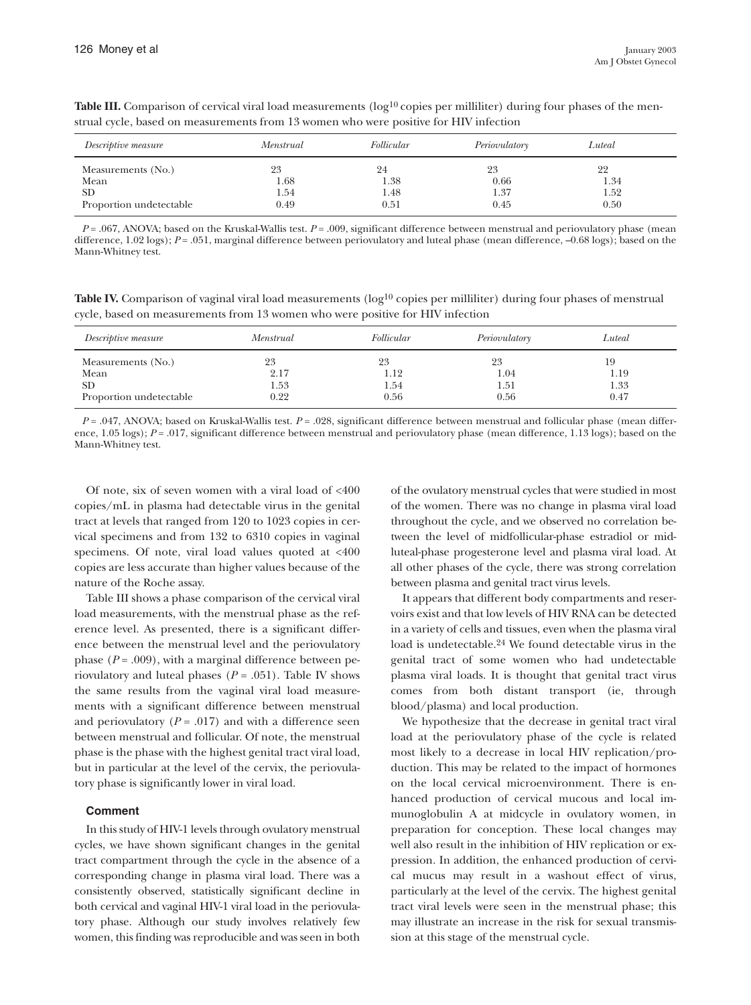| Descriptive measure     | Menstrual | Follicular | Periovulatory | Luteal |
|-------------------------|-----------|------------|---------------|--------|
| Measurements (No.)      | 23        | 24         | 23            | 22     |
| Mean                    | 1.68      | 1.38       | 0.66          | 1.34   |
| <b>SD</b>               | 1.54      | 1.48       | 1.37          | 1.52   |
| Proportion undetectable | 0.49      | 0.51       | 0.45          | 0.50   |

**Table III.** Comparison of cervical viral load measurements (log<sup>10</sup> copies per milliliter) during four phases of the menstrual cycle, based on measurements from 13 women who were positive for HIV infection

*P* = .067, ANOVA; based on the Kruskal-Wallis test. *P* = .009, significant difference between menstrual and periovulatory phase (mean difference, 1.02 logs); *P* = .051, marginal difference between periovulatory and luteal phase (mean difference, –0.68 logs); based on the Mann-Whitney test.

**Table IV.** Comparison of vaginal viral load measurements (log<sup>10</sup> copies per milliliter) during four phases of menstrual cycle, based on measurements from 13 women who were positive for HIV infection

| Descriptive measure     | Menstrual | Follicular | Periovulatory | Luteal |
|-------------------------|-----------|------------|---------------|--------|
| Measurements (No.)      | 23        | 23         | 23            | 19     |
| Mean                    | 2.17      | 1.12       | 0.04          | 1.19   |
| <b>SD</b>               | 1.53      | 1.54       | 1.51          | 1.33   |
| Proportion undetectable | 0.22      | 0.56       | 0.56          | 0.47   |

*P* = .047, ANOVA; based on Kruskal-Wallis test. *P* = .028, significant difference between menstrual and follicular phase (mean difference, 1.05 logs);  $P = .017$ , significant difference between menstrual and periovulatory phase (mean difference, 1.13 logs); based on the Mann-Whitney test.

Of note, six of seven women with a viral load of <400 copies/mL in plasma had detectable virus in the genital tract at levels that ranged from 120 to 1023 copies in cervical specimens and from 132 to 6310 copies in vaginal specimens. Of note, viral load values quoted at <400 copies are less accurate than higher values because of the nature of the Roche assay.

Table III shows a phase comparison of the cervical viral load measurements, with the menstrual phase as the reference level. As presented, there is a significant difference between the menstrual level and the periovulatory phase  $(P = .009)$ , with a marginal difference between periovulatory and luteal phases ( $P = .051$ ). Table IV shows the same results from the vaginal viral load measurements with a significant difference between menstrual and periovulatory  $(P = .017)$  and with a difference seen between menstrual and follicular. Of note, the menstrual phase is the phase with the highest genital tract viral load, but in particular at the level of the cervix, the periovulatory phase is significantly lower in viral load.

## **Comment**

In this study of HIV-1 levels through ovulatory menstrual cycles, we have shown significant changes in the genital tract compartment through the cycle in the absence of a corresponding change in plasma viral load. There was a consistently observed, statistically significant decline in both cervical and vaginal HIV-1 viral load in the periovulatory phase. Although our study involves relatively few women, this finding was reproducible and was seen in both of the ovulatory menstrual cycles that were studied in most of the women. There was no change in plasma viral load throughout the cycle, and we observed no correlation between the level of midfollicular-phase estradiol or midluteal-phase progesterone level and plasma viral load. At all other phases of the cycle, there was strong correlation between plasma and genital tract virus levels.

It appears that different body compartments and reservoirs exist and that low levels of HIV RNA can be detected in a variety of cells and tissues, even when the plasma viral load is undetectable.24 We found detectable virus in the genital tract of some women who had undetectable plasma viral loads. It is thought that genital tract virus comes from both distant transport (ie, through blood/plasma) and local production.

We hypothesize that the decrease in genital tract viral load at the periovulatory phase of the cycle is related most likely to a decrease in local HIV replication/production. This may be related to the impact of hormones on the local cervical microenvironment. There is enhanced production of cervical mucous and local immunoglobulin A at midcycle in ovulatory women, in preparation for conception. These local changes may well also result in the inhibition of HIV replication or expression. In addition, the enhanced production of cervical mucus may result in a washout effect of virus, particularly at the level of the cervix. The highest genital tract viral levels were seen in the menstrual phase; this may illustrate an increase in the risk for sexual transmission at this stage of the menstrual cycle.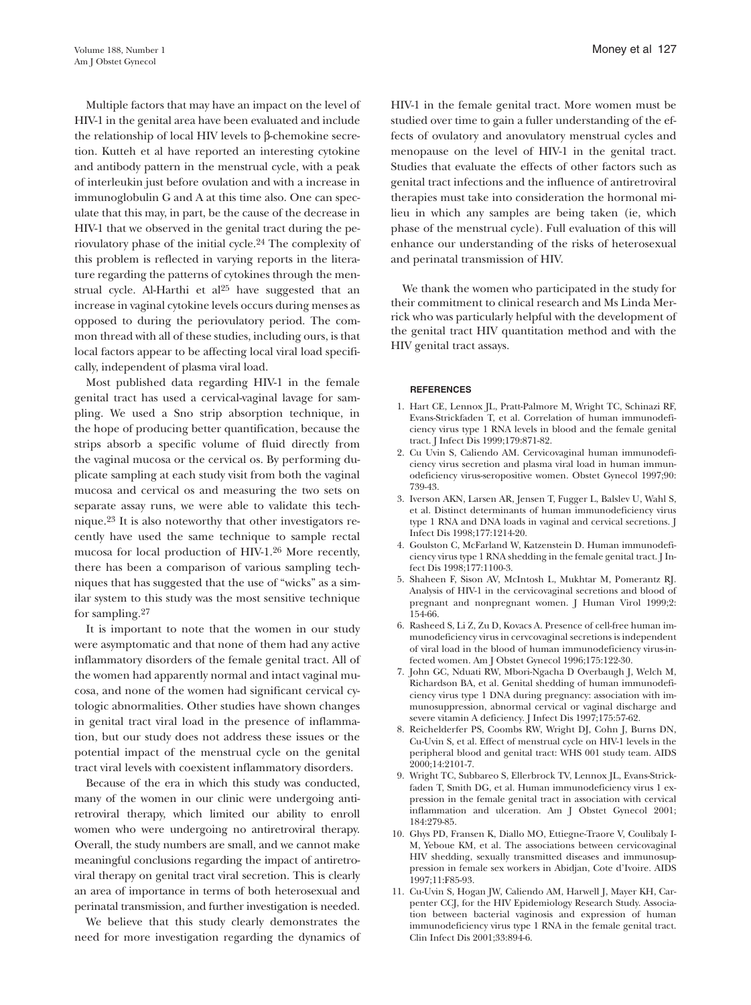Multiple factors that may have an impact on the level of HIV-1 in the genital area have been evaluated and include the relationship of local HIV levels to β-chemokine secretion. Kutteh et al have reported an interesting cytokine and antibody pattern in the menstrual cycle, with a peak of interleukin just before ovulation and with a increase in immunoglobulin G and A at this time also. One can speculate that this may, in part, be the cause of the decrease in HIV-1 that we observed in the genital tract during the periovulatory phase of the initial cycle.24 The complexity of this problem is reflected in varying reports in the literature regarding the patterns of cytokines through the menstrual cycle. Al-Harthi et al<sup>25</sup> have suggested that an increase in vaginal cytokine levels occurs during menses as opposed to during the periovulatory period. The common thread with all of these studies, including ours, is that local factors appear to be affecting local viral load specifically, independent of plasma viral load.

Most published data regarding HIV-1 in the female genital tract has used a cervical-vaginal lavage for sampling. We used a Sno strip absorption technique, in the hope of producing better quantification, because the strips absorb a specific volume of fluid directly from the vaginal mucosa or the cervical os. By performing duplicate sampling at each study visit from both the vaginal mucosa and cervical os and measuring the two sets on separate assay runs, we were able to validate this technique.23 It is also noteworthy that other investigators recently have used the same technique to sample rectal mucosa for local production of HIV-1.26 More recently, there has been a comparison of various sampling techniques that has suggested that the use of "wicks" as a similar system to this study was the most sensitive technique for sampling.27

It is important to note that the women in our study were asymptomatic and that none of them had any active inflammatory disorders of the female genital tract. All of the women had apparently normal and intact vaginal mucosa, and none of the women had significant cervical cytologic abnormalities. Other studies have shown changes in genital tract viral load in the presence of inflammation, but our study does not address these issues or the potential impact of the menstrual cycle on the genital tract viral levels with coexistent inflammatory disorders.

Because of the era in which this study was conducted, many of the women in our clinic were undergoing antiretroviral therapy, which limited our ability to enroll women who were undergoing no antiretroviral therapy. Overall, the study numbers are small, and we cannot make meaningful conclusions regarding the impact of antiretroviral therapy on genital tract viral secretion. This is clearly an area of importance in terms of both heterosexual and perinatal transmission, and further investigation is needed.

We believe that this study clearly demonstrates the need for more investigation regarding the dynamics of HIV-1 in the female genital tract. More women must be studied over time to gain a fuller understanding of the effects of ovulatory and anovulatory menstrual cycles and menopause on the level of HIV-1 in the genital tract. Studies that evaluate the effects of other factors such as genital tract infections and the influence of antiretroviral therapies must take into consideration the hormonal milieu in which any samples are being taken (ie, which phase of the menstrual cycle). Full evaluation of this will enhance our understanding of the risks of heterosexual and perinatal transmission of HIV.

We thank the women who participated in the study for their commitment to clinical research and Ms Linda Merrick who was particularly helpful with the development of the genital tract HIV quantitation method and with the HIV genital tract assays.

#### **REFERENCES**

- 1. Hart CE, Lennox JL, Pratt-Palmore M, Wright TC, Schinazi RF, Evans-Strickfaden T, et al. Correlation of human immunodeficiency virus type 1 RNA levels in blood and the female genital tract. J Infect Dis 1999;179:871-82.
- 2. Cu Uvin S, Caliendo AM. Cervicovaginal human immunodeficiency virus secretion and plasma viral load in human immunodeficiency virus-seropositive women. Obstet Gynecol 1997;90: 739-43.
- 3. Iverson AKN, Larsen AR, Jensen T, Fugger L, Balslev U, Wahl S, et al. Distinct determinants of human immunodeficiency virus type 1 RNA and DNA loads in vaginal and cervical secretions. J Infect Dis 1998;177:1214-20.
- 4. Goulston C, McFarland W, Katzenstein D. Human immunodeficiency virus type 1 RNA shedding in the female genital tract. J Infect Dis 1998;177:1100-3.
- 5. Shaheen F, Sison AV, McIntosh L, Mukhtar M, Pomerantz RJ. Analysis of HIV-1 in the cervicovaginal secretions and blood of pregnant and nonpregnant women. J Human Virol 1999;2: 154-66.
- 6. Rasheed S, Li Z, Zu D, Kovacs A. Presence of cell-free human immunodeficiency virus in cervcovaginal secretions is independent of viral load in the blood of human immunodeficiency virus-infected women. Am J Obstet Gynecol 1996;175:122-30.
- 7. John GC, Nduati RW, Mbori-Ngacha D Overbaugh J, Welch M, Richardson BA, et al. Genital shedding of human immunodeficiency virus type 1 DNA during pregnancy: association with immunosuppression, abnormal cervical or vaginal discharge and severe vitamin A deficiency. J Infect Dis 1997;175:57-62.
- 8. Reichelderfer PS, Coombs RW, Wright DJ, Cohn J, Burns DN, Cu-Uvin S, et al. Effect of menstrual cycle on HIV-1 levels in the peripheral blood and genital tract: WHS 001 study team. AIDS 2000;14:2101-7.
- 9. Wright TC, Subbareo S, Ellerbrock TV, Lennox JL, Evans-Strickfaden T, Smith DG, et al. Human immunodeficiency virus 1 expression in the female genital tract in association with cervical inflammation and ulceration. Am J Obstet Gynecol 2001; 184:279-85.
- 10. Ghys PD, Fransen K, Diallo MO, Ettiegne-Traore V, Coulibaly I-M, Yeboue KM, et al. The associations between cervicovaginal HIV shedding, sexually transmitted diseases and immunosuppression in female sex workers in Abidjan, Cote d'Ivoire. AIDS 1997;11:F85-93.
- 11. Cu-Uvin S, Hogan JW, Caliendo AM, Harwell J, Mayer KH, Carpenter CCJ, for the HIV Epidemiology Research Study. Association between bacterial vaginosis and expression of human immunodeficiency virus type 1 RNA in the female genital tract. Clin Infect Dis 2001;33:894-6.